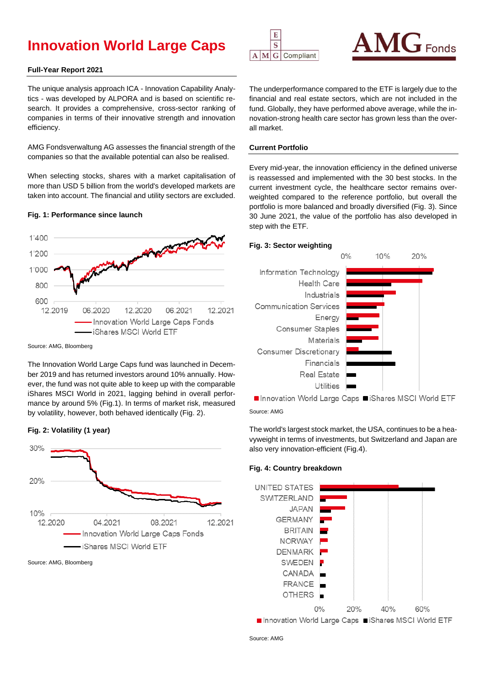# **Innovation World Large Caps**

# **Full-Year Report 2021**

The unique analysis approach ICA - Innovation Capability Analytics - was developed by ALPORA and is based on scientific research. It provides a comprehensive, cross-sector ranking of companies in terms of their innovative strength and innovation efficiency.

AMG Fondsverwaltung AG assesses the financial strength of the companies so that the available potential can also be realised.

When selecting stocks, shares with a market capitalisation of more than USD 5 billion from the world's developed markets are taken into account. The financial and utility sectors are excluded.

#### **Fig. 1: Performance since launch**



Source: AMG, Bloomberg

The Innovation World Large Caps fund was launched in December 2019 and has returned investors around 10% annually. However, the fund was not quite able to keep up with the comparable iShares MSCI World in 2021, lagging behind in overall performance by around 5% (Fig.1). In terms of market risk, measured by volatility, however, both behaved identically (Fig. 2).





Source: AMG, Bloomberg





The underperformance compared to the ETF is largely due to the financial and real estate sectors, which are not included in the fund. Globally, they have performed above average, while the innovation-strong health care sector has grown less than the overall market.

### **Current Portfolio**

Every mid-year, the innovation efficiency in the defined universe is reassessed and implemented with the 30 best stocks. In the current investment cycle, the healthcare sector remains overweighted compared to the reference portfolio, but overall the portfolio is more balanced and broadly diversified (Fig. 3). Since 30 June 2021, the value of the portfolio has also developed in step with the ETF.

# **Fig. 3: Sector weighting**



■ Innovation World Large Caps ■ iShares MSCI World ETF Source: AMG

The world's largest stock market, the USA, continues to be a heavyweight in terms of investments, but Switzerland and Japan are also very innovation-efficient (Fig.4).

#### **Fig. 4: Country breakdown**



Innovation World Large Caps IShares MSCI World ETF